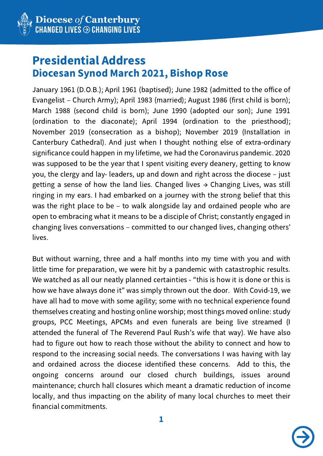

## Presidential Address Diocesan Synod March 2021, Bishop Rose

January 1961 (D.O.B.); April 1961 (baptised); June 1982 (admitted to the office of Evangelist – Church Army); April 1983 (married); August 1986 (first child is born); March 1988 (second child is born); June 1990 (adopted our son); June 1991 (ordination to the diaconate); April 1994 (ordination to the priesthood); November 2019 (consecration as a bishop); November 2019 (Installation in Canterbury Cathedral). And just when I thought nothing else of extra-ordinary significance could happen in my lifetime, we had the Coronavirus pandemic. 2020 was supposed to be the year that I spent visiting every deanery, getting to know you, the clergy and lay- leaders, up and down and right across the diocese – just getting a sense of how the land lies. Changed lives  $\rightarrow$  Changing Lives, was still ringing in my ears. I had embarked on a journey with the strong belief that this was the right place to be – to walk alongside lay and ordained people who are open to embracing what it means to be a disciple of Christ; constantly engaged in changing lives conversations – committed to our changed lives, changing others' lives.

But without warning, three and a half months into my time with you and with little time for preparation, we were hit by a pandemic with catastrophic results. We watched as all our neatly planned certainties - "this is how it is done or this is how we have always done it" was simply thrown out the door. With Covid-19, we have all had to move with some agility; some with no technical experience found themselves creating and hosting online worship; most things moved online: study groups, PCC Meetings, APCMs and even funerals are being live streamed (I attended the funeral of The Reverend Paul Rush's wife that way). We have also had to figure out how to reach those without the ability to connect and how to respond to the increasing social needs. The conversations I was having with lay and ordained across the diocese identified these concerns. Add to this, the ongoing concerns around our closed church buildings, issues around maintenance; church hall closures which meant a dramatic reduction of income locally, and thus impacting on the ability of many local churches to meet their financial commitments.

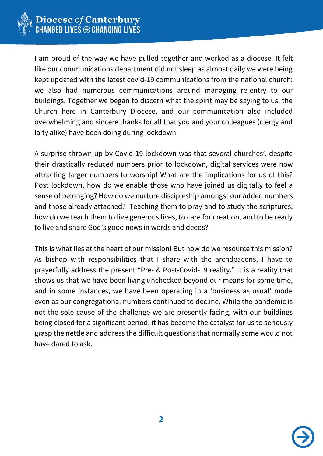

I am proud of the way we have pulled together and worked as a diocese. It felt like our communications department did not sleep as almost daily we were being kept updated with the latest covid-19 communications from the national church; we also had numerous communications around managing re-entry to our buildings. Together we began to discern what the spirit may be saying to us, the Church here in Canterbury Diocese, and our communication also included overwhelming and sincere thanks for all that you and your colleagues (clergy and laity alike) have been doing during lockdown.

A surprise thrown up by Covid-19 lockdown was that several churches', despite their drastically reduced numbers prior to lockdown, digital services were now attracting larger numbers to worship! What are the implications for us of this? Post lockdown, how do we enable those who have joined us digitally to feel a sense of belonging? How do we nurture discipleship amongst our added numbers and those already attached? Teaching them to pray and to study the scriptures; how do we teach them to live generous lives, to care for creation, and to be ready to live and share God's good news in words and deeds?

This is what lies at the heart of our mission! But how do we resource this mission? As bishop with responsibilities that I share with the archdeacons, I have to prayerfully address the present "Pre- & Post-Covid-19 reality." It is a reality that shows us that we have been living unchecked beyond our means for some time, and in some instances, we have been operating in a 'business as usual' mode even as our congregational numbers continued to decline. While the pandemic is not the sole cause of the challenge we are presently facing, with our buildings being closed for a significant period, it has become the catalyst for us to seriously grasp the nettle and address the difficult questions that normally some would not have dared to ask.

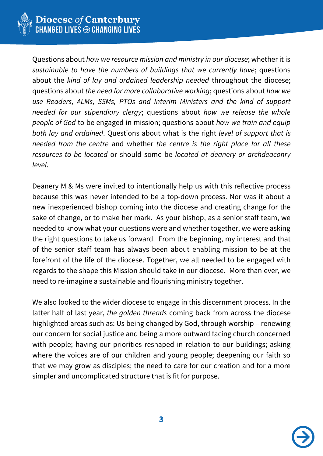

Questions about *how we resource mission and ministry in our diocese*; whether it is *sustainable to have the numbers of buildings that we currently have*; questions about the *kind of lay and ordained leadership needed* throughout the diocese; questions about *the need for more collaborative working*; questions about *how we use Readers, ALMs, SSMs, PTOs and Interim Ministers and the kind of support needed for our stipendiary clergy*; questions about *how we release the whole people of God* to be engaged in mission; questions about *how we train and equip both lay and ordained*. Questions about what is the right *level of support that is needed from the centre* and whether *the centre is the right place for all these resources to be located* or should some be *located at deanery or archdeaconry level*.

Deanery M & Ms were invited to intentionally help us with this reflective process because this was never intended to be a top-down process. Nor was it about a new inexperienced bishop coming into the diocese and creating change for the sake of change, or to make her mark. As your bishop, as a senior staff team, we needed to know what your questions were and whether together, we were asking the right questions to take us forward. From the beginning, my interest and that of the senior staff team has always been about enabling mission to be at the forefront of the life of the diocese. Together, we all needed to be engaged with regards to the shape this Mission should take in our diocese. More than ever, we need to re-imagine a sustainable and flourishing ministry together.

We also looked to the wider diocese to engage in this discernment process. In the latter half of last year, *the golden threads* coming back from across the diocese highlighted areas such as: Us being changed by God, through worship – renewing our concern for social justice and being a more outward facing church concerned with people; having our priorities reshaped in relation to our buildings; asking where the voices are of our children and young people; deepening our faith so that we may grow as disciples; the need to care for our creation and for a more simpler and uncomplicated structure that is fit for purpose.

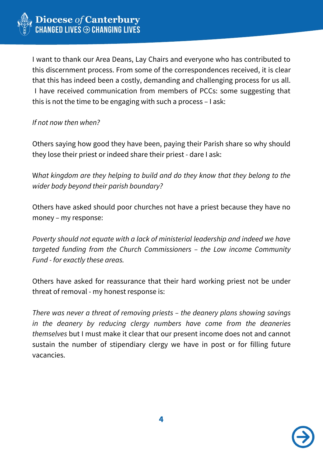

I want to thank our Area Deans, Lay Chairs and everyone who has contributed to this discernment process. From some of the correspondences received, it is clear that this has indeed been a costly, demanding and challenging process for us all. I have received communication from members of PCCs: some suggesting that this is not the time to be engaging with such a process – I ask:

*If not now then when?*

Others saying how good they have been, paying their Parish share so why should they lose their priest or indeed share their priest - dare I ask:

W*hat kingdom are they helping to build and do they know that they belong to the wider body beyond their parish boundary?*

Others have asked should poor churches not have a priest because they have no money – my response:

*Poverty should not equate with a lack of ministerial leadership and indeed we have targeted funding from the Church Commissioners – the Low income Community Fund - for exactly these areas.*

Others have asked for reassurance that their hard working priest not be under threat of removal - my honest response is:

*There was never a threat of removing priests – the deanery plans showing savings in the deanery by reducing clergy numbers have come from the deaneries themselves* but I must make it clear that our present income does not and cannot sustain the number of stipendiary clergy we have in post or for filling future vacancies.

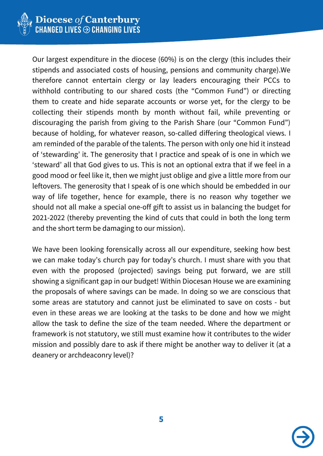

Our largest expenditure in the diocese (60%) is on the clergy (this includes their stipends and associated costs of housing, pensions and community charge).We therefore cannot entertain clergy or lay leaders encouraging their PCCs to withhold contributing to our shared costs (the "Common Fund") or directing them to create and hide separate accounts or worse yet, for the clergy to be collecting their stipends month by month without fail, while preventing or discouraging the parish from giving to the Parish Share (our "Common Fund") because of holding, for whatever reason, so-called differing theological views. I am reminded of the parable of the talents. The person with only one hid it instead of 'stewarding' it. The generosity that I practice and speak of is one in which we 'steward' all that God gives to us. This is not an optional extra that if we feel in a good mood or feel like it, then we might just oblige and give a little more from our leftovers. The generosity that I speak of is one which should be embedded in our way of life together, hence for example, there is no reason why together we should not all make a special one-off gift to assist us in balancing the budget for 2021-2022 (thereby preventing the kind of cuts that could in both the long term and the short term be damaging to our mission).

We have been looking forensically across all our expenditure, seeking how best we can make today's church pay for today's church. I must share with you that even with the proposed (projected) savings being put forward, we are still showing a significant gap in our budget! Within Diocesan House we are examining the proposals of where savings can be made. In doing so we are conscious that some areas are statutory and cannot just be eliminated to save on costs - but even in these areas we are looking at the tasks to be done and how we might allow the task to define the size of the team needed. Where the department or framework is not statutory, we still must examine how it contributes to the wider mission and possibly dare to ask if there might be another way to deliver it (at a deanery or archdeaconry level)?